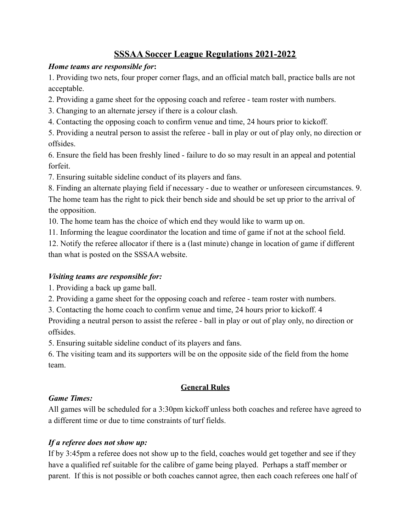# **SSSAA Soccer League Regulations 2021-2022**

## *Home teams are responsible for***:**

1. Providing two nets, four proper corner flags, and an official match ball, practice balls are not acceptable.

2. Providing a game sheet for the opposing coach and referee - team roster with numbers.

3. Changing to an alternate jersey if there is a colour clash.

4. Contacting the opposing coach to confirm venue and time, 24 hours prior to kickoff.

5. Providing a neutral person to assist the referee - ball in play or out of play only, no direction or offsides.

6. Ensure the field has been freshly lined - failure to do so may result in an appeal and potential forfeit.

7. Ensuring suitable sideline conduct of its players and fans.

8. Finding an alternate playing field if necessary - due to weather or unforeseen circumstances. 9. The home team has the right to pick their bench side and should be set up prior to the arrival of the opposition.

10. The home team has the choice of which end they would like to warm up on.

11. Informing the league coordinator the location and time of game if not at the school field.

12. Notify the referee allocator if there is a (last minute) change in location of game if different than what is posted on the SSSAA website.

# *Visiting teams are responsible for:*

1. Providing a back up game ball.

2. Providing a game sheet for the opposing coach and referee - team roster with numbers.

3. Contacting the home coach to confirm venue and time, 24 hours prior to kickoff. 4

Providing a neutral person to assist the referee - ball in play or out of play only, no direction or offsides.

5. Ensuring suitable sideline conduct of its players and fans.

6. The visiting team and its supporters will be on the opposite side of the field from the home team.

# **General Rules**

# *Game Times:*

All games will be scheduled for a 3:30pm kickoff unless both coaches and referee have agreed to a different time or due to time constraints of turf fields.

# *If a referee does not show up:*

If by 3:45pm a referee does not show up to the field, coaches would get together and see if they have a qualified ref suitable for the calibre of game being played. Perhaps a staff member or parent. If this is not possible or both coaches cannot agree, then each coach referees one half of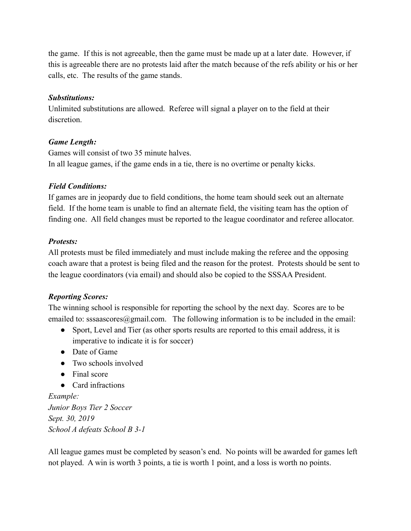the game. If this is not agreeable, then the game must be made up at a later date. However, if this is agreeable there are no protests laid after the match because of the refs ability or his or her calls, etc. The results of the game stands.

#### *Substitutions:*

Unlimited substitutions are allowed. Referee will signal a player on to the field at their discretion.

#### *Game Length:*

Games will consist of two 35 minute halves. In all league games, if the game ends in a tie, there is no overtime or penalty kicks.

#### *Field Conditions:*

If games are in jeopardy due to field conditions, the home team should seek out an alternate field. If the home team is unable to find an alternate field, the visiting team has the option of finding one. All field changes must be reported to the league coordinator and referee allocator.

#### *Protests:*

All protests must be filed immediately and must include making the referee and the opposing coach aware that a protest is being filed and the reason for the protest. Protests should be sent to the league coordinators (via email) and should also be copied to the SSSAA President.

# *Reporting Scores:*

The winning school is responsible for reporting the school by the next day. Scores are to be emailed to: sssaascores $@g$ mail.com. The following information is to be included in the email:

- Sport, Level and Tier (as other sports results are reported to this email address, it is imperative to indicate it is for soccer)
- Date of Game
- $\bullet$  Two schools involved
- Final score
- Card infractions

*Example: Junior Boys Tier 2 Soccer Sept. 30, 2019 School A defeats School B 3-1*

All league games must be completed by season's end. No points will be awarded for games left not played. A win is worth 3 points, a tie is worth 1 point, and a loss is worth no points.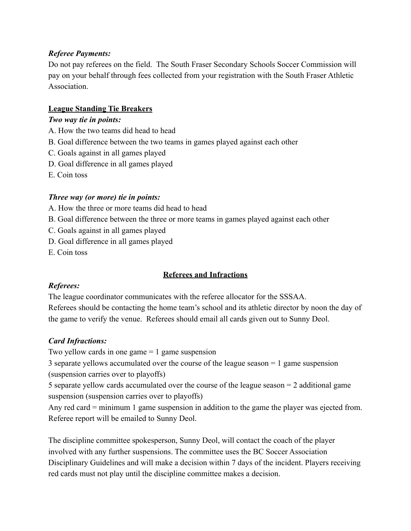## *Referee Payments:*

Do not pay referees on the field. The South Fraser Secondary Schools Soccer Commission will pay on your behalf through fees collected from your registration with the South Fraser Athletic **Association** 

## **League Standing Tie Breakers**

#### *Two way tie in points:*

- A. How the two teams did head to head
- B. Goal difference between the two teams in games played against each other
- C. Goals against in all games played
- D. Goal difference in all games played
- E. Coin toss

#### *Three way (or more) tie in points:*

- A. How the three or more teams did head to head
- B. Goal difference between the three or more teams in games played against each other
- C. Goals against in all games played
- D. Goal difference in all games played
- E. Coin toss

# **Referees and Infractions**

# *Referees:*

The league coordinator communicates with the referee allocator for the SSSAA. Referees should be contacting the home team's school and its athletic director by noon the day of the game to verify the venue. Referees should email all cards given out to Sunny Deol.

# *Card Infractions:*

Two yellow cards in one game  $= 1$  game suspension

3 separate yellows accumulated over the course of the league season = 1 game suspension (suspension carries over to playoffs)

5 separate yellow cards accumulated over the course of the league season = 2 additional game suspension (suspension carries over to playoffs)

Any red card = minimum 1 game suspension in addition to the game the player was ejected from. Referee report will be emailed to Sunny Deol.

The discipline committee spokesperson, Sunny Deol, will contact the coach of the player involved with any further suspensions. The committee uses the BC Soccer Association Disciplinary Guidelines and will make a decision within 7 days of the incident. Players receiving red cards must not play until the discipline committee makes a decision.